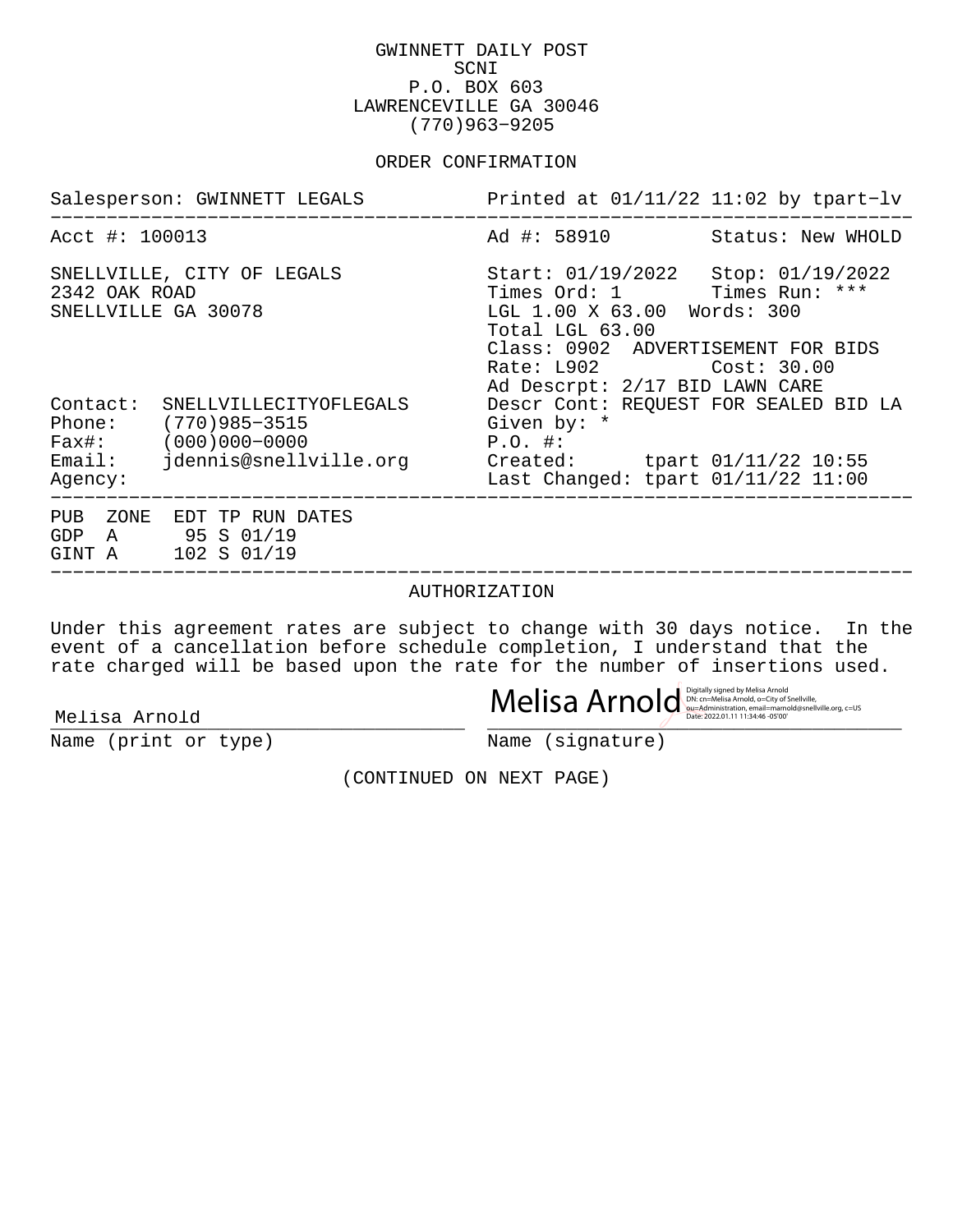GWINNETT DAILY POST SCNI P.O. BOX 603 LAWRENCEVILLE GA 30046 (770)963−9205

### ORDER CONFIRMATION

|                                      | Salesperson: GWINNETT LEGALS                                                                                                           | Printed at $01/11/22$ 11:02 by tpart-lv                                                                                                                                                                               |  |
|--------------------------------------|----------------------------------------------------------------------------------------------------------------------------------------|-----------------------------------------------------------------------------------------------------------------------------------------------------------------------------------------------------------------------|--|
| Acct #: 100013                       |                                                                                                                                        | Ad #: 58910 Status: New WHOLD                                                                                                                                                                                         |  |
| 2342 OAK ROAD<br>SNELLVILLE GA 30078 | SNELLVILLE, CITY OF LEGALS                                                                                                             | Start: 01/19/2022 Stop: 01/19/2022<br>Times Ord: 1 Times Run: ***<br>LGL 1.00 X 63.00 Words: 300<br>Total LGL 63.00<br>Class: 0902 ADVERTISEMENT FOR BIDS<br>Rate: L902 Cost: 30.00<br>Ad Descrpt: 2/17 BID LAWN CARE |  |
| Contact:<br>Agency:                  | SNELLVILLECITYOFLEGALS<br>Phone: (770)985-3515<br>$Fast: (000)000-0000$<br>Email: jdennis@snellville.org Created: tpart 01/11/22 10:55 | Descr Cont: REQUEST FOR SEALED BID LA<br>Given by: *<br>$P.O.$ #:<br>Last Changed: tpart 01/11/22 11:00                                                                                                               |  |
|                                      | PUB ZONE EDT TP RUN DATES<br>GDP A 95 S 01/19<br>GINT A 102 S 01/19                                                                    |                                                                                                                                                                                                                       |  |

#### AUTHORIZATION

−−−−−−−−−−−−−−−−−−−−−−−−−−−−−−−−−−−−−−−−−−−−−−−−−−−−−−−−−−−−−−−−−−−−−−−−−−−−−

Under this agreement rates are subject to change with 30 days notice. In the event of a cancellation before schedule completion, I understand that the rate charged will be based upon the rate for the number of insertions used.

 $\textbf{Melisa Arnold} \hspace{1cm} \textbf{Melissa model} \hspace{1cm} \textbf{Example} \hspace{1cm} \textbf{Example} \hspace{1cm} \textbf{Example} \hspace{1cm} \textbf{Example} \hspace{1cm} \textbf{Example} \hspace{1cm} \textbf{Example} \hspace{1cm} \textbf{Example} \hspace{1cm} \textbf{Method} \hspace{1cm} \textbf{Method} \hspace{1cm} \textbf{Method} \hspace{1cm} \textbf{Method} \hspace{1cm} \textbf{Method} \hspace{1cm} \textbf{Method} \hspace{1cm} \textbf{Method} \hspace{1cm} \textbf{Method} \hs$ 

Name (print or type) Name (signature)

(CONTINUED ON NEXT PAGE)